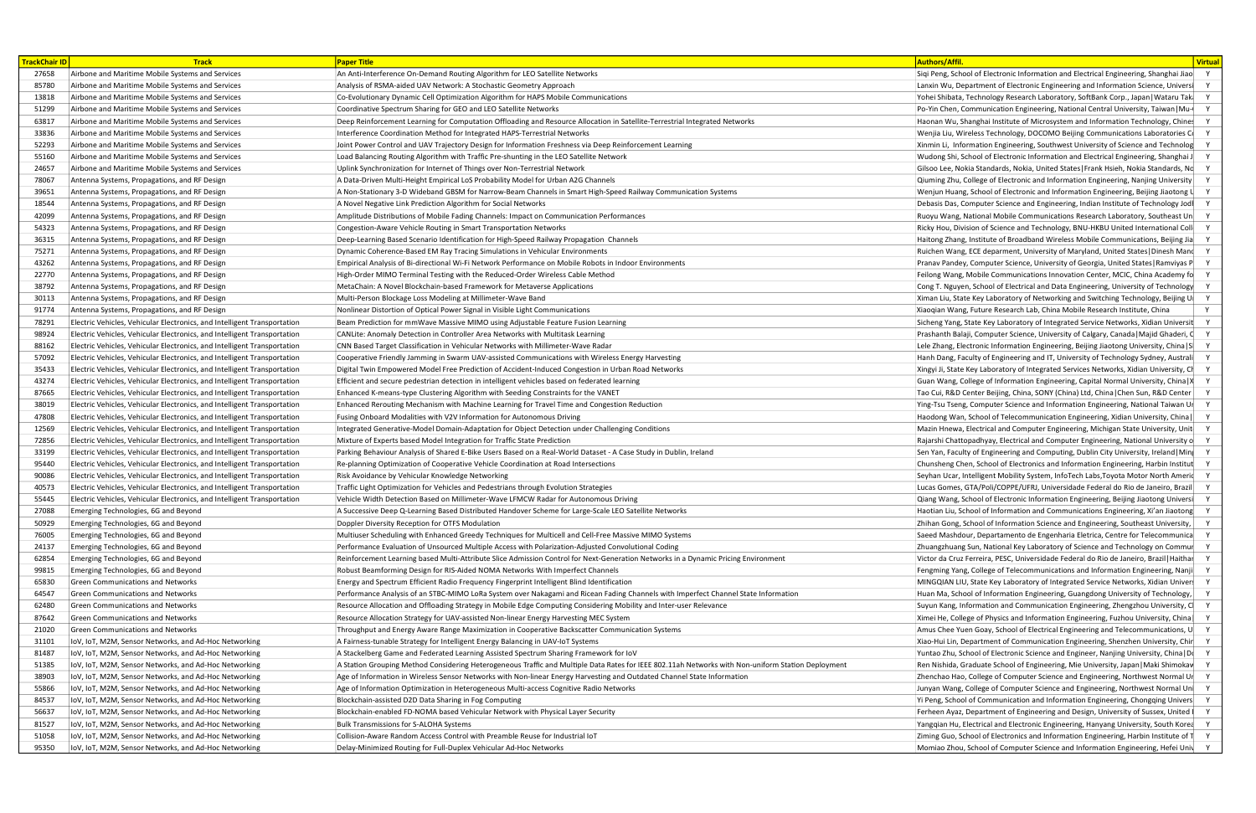|                                                                                                                                       | <b>Paper Title</b>                                                                                                                                               |                                                                                                 |
|---------------------------------------------------------------------------------------------------------------------------------------|------------------------------------------------------------------------------------------------------------------------------------------------------------------|-------------------------------------------------------------------------------------------------|
| 27658 Airbone and Maritime Mobile Systems and Services                                                                                | An Anti-Interference On-Demand Routing Algorithm for LEO Satellite Networks                                                                                      | Siqi Peng, School of Electronic Information and Electrical Engineering, Shanghai Jiao           |
| 85780 Airbone and Maritime Mobile Systems and Services                                                                                | Analysis of RSMA-aided UAV Network: A Stochastic Geometry Approach                                                                                               | Lanxin Wu, Department of Electronic Engineering and Information Science, Universi               |
| 13818 Airbone and Maritime Mobile Systems and Services                                                                                | Co-Evolutionary Dynamic Cell Optimization Algorithm for HAPS Mobile Communications                                                                               | Yohei Shibata, Technology Research Laboratory, SoftBank Corp., Japan Wataru Tak                 |
| 51299 Airbone and Maritime Mobile Systems and Services                                                                                | Coordinative Spectrum Sharing for GEO and LEO Satellite Networks                                                                                                 | Po-Yin Chen, Communication Engineering, National Central University, Taiwan   Mu-               |
| 63817 Airbone and Maritime Mobile Systems and Services                                                                                | Deep Reinforcement Learning for Computation Offloading and Resource Allocation in Satellite-Terrestrial Integrated Networks                                      | Haonan Wu, Shanghai Institute of Microsystem and Information Technology, Chines                 |
| 33836 Airbone and Maritime Mobile Systems and Services                                                                                | Interference Coordination Method for Integrated HAPS-Terrestrial Networks                                                                                        | Wenjia Liu, Wireless Technology, DOCOMO Beijing Communications Laboratories C                   |
| 52293 Airbone and Maritime Mobile Systems and Services                                                                                | Joint Power Control and UAV Trajectory Design for Information Freshness via Deep Reinforcement Learning                                                          | Xinmin Li, Information Engineering, Southwest University of Science and Technolog               |
| 55160 Airbone and Maritime Mobile Systems and Services                                                                                | Load Balancing Routing Algorithm with Traffic Pre-shunting in the LEO Satellite Network                                                                          | Wudong Shi, School of Electronic Information and Electrical Engineering, Shanghai J             |
| 24657 Airbone and Maritime Mobile Systems and Services                                                                                | Uplink Synchronization for Internet of Things over Non-Terrestrial Network                                                                                       | Gilsoo Lee, Nokia Standards, Nokia, United States   Frank Hsieh, Nokia Standards, Nc            |
| 78067 Antenna Systems, Propagations, and RF Design                                                                                    | A Data-Driven Multi-Height Empirical LoS Probability Model for Urban A2G Channels                                                                                | $\alpha$ Qiuming Zhu, College of Electronic and Information Engineering, Nanjing University     |
| 39651 Antenna Systems, Propagations, and RF Design                                                                                    | A Non-Stationary 3-D Wideband GBSM for Narrow-Beam Channels in Smart High-Speed Railway Communication Systems                                                    | Wenjun Huang, School of Electronic and Information Engineering, Beijing Jiaotong $\mathfrak{t}$ |
| 18544 Antenna Systems, Propagations, and RF Design                                                                                    | A Novel Negative Link Prediction Algorithm for Social Networks                                                                                                   | Debasis Das, Computer Science and Engineering, Indian Institute of Technology Jod               |
| 42099 Antenna Systems, Propagations, and RF Design                                                                                    | Amplitude Distributions of Mobile Fading Channels: Impact on Communication Performances                                                                          | Ruoyu Wang, National Mobile Communications Research Laboratory, Southeast Un                    |
| 54323 Antenna Systems, Propagations, and RF Design                                                                                    | Congestion-Aware Vehicle Routing in Smart Transportation Networks                                                                                                | Ricky Hou, Division of Science and Technology, BNU-HKBU United International Coll               |
| 36315 Antenna Systems, Propagations, and RF Design                                                                                    | Deep-Learning Based Scenario Identification for High-Speed Railway Propagation Channels                                                                          | Haitong Zhang, Institute of Broadband Wireless Mobile Communications, Beijing Jia               |
| 75271 Antenna Systems, Propagations, and RF Design                                                                                    | Dynamic Coherence-Based EM Ray Tracing Simulations in Vehicular Environments                                                                                     | Ruichen Wang, ECE deparment, University of Maryland, United States   Dinesh Mand                |
| 43262 Antenna Systems, Propagations, and RF Design                                                                                    | Empirical Analysis of Bi-directional Wi-Fi Network Performance on Mobile Robots in Indoor Environments                                                           | <b>Pranav Pandey, Computer Science, University of Georgia, United States Ramviyas P</b>         |
| 22770 Antenna Systems, Propagations, and RF Design                                                                                    | High-Order MIMO Terminal Testing with the Reduced-Order Wireless Cable Method                                                                                    | Feilong Wang, Mobile Communications Innovation Center, MCIC, China Academy fo                   |
| 38792 Antenna Systems, Propagations, and RF Design                                                                                    | MetaChain: A Novel Blockchain-based Framework for Metaverse Applications                                                                                         | Cong T. Nguyen, School of Electrical and Data Engineering, University of Technology             |
|                                                                                                                                       |                                                                                                                                                                  | Ximan Liu, State Key Laboratory of Networking and Switching Technology, Beijing U               |
| 30113 Antenna Systems, Propagations, and RF Design                                                                                    | Multi-Person Blockage Loss Modeling at Millimeter-Wave Band                                                                                                      | Xiaoqian Wang, Future Research Lab, China Mobile Research Institute, China                      |
| 91774 Antenna Systems, Propagations, and RF Design<br>78291   Electric Vehicles, Vehicular Electronics, and Intelligent Transportatio | Nonlinear Distortion of Optical Power Signal in Visible Light Communications<br>Beam Prediction for mmWave Massive MIMO using Adjustable Feature Fusion Learning |                                                                                                 |
|                                                                                                                                       | CANLite: Anomaly Detection in Controller Area Networks with Multitask Learning                                                                                   | Sicheng Yang, State Key Laboratory of Integrated Service Networks, Xidian Universit             |
| 98924 Flectric Vehicles, Vehicular Electronics, and Intelligent Transportation                                                        |                                                                                                                                                                  | Prashanth Balaji, Computer Science, University of Calgary, Canada   Majid Ghaderi, C            |
| 88162 Electric Vehicles, Vehicular Electronics, and Intelligent Transportation                                                        | CNN Based Target Classification in Vehicular Networks with Millimeter-Wave Radar                                                                                 | Lele Zhang, Electronic Information Engineering, Beijing Jiaotong University, China   S          |
| 57092 Electric Vehicles, Vehicular Electronics, and Intelligent Transportation                                                        | Cooperative Friendly Jamming in Swarm UAV-assisted Communications with Wireless Energy Harvesting                                                                | Hanh Dang, Faculty of Engineering and IT, University of Technology Sydney, Australi             |
| 35433 Flectric Vehicles, Vehicular Electronics, and Intelligent Transportation                                                        | Digital Twin Empowered Model Free Prediction of Accident-Induced Congestion in Urban Road Networks                                                               | Xingyi Ji, State Key Laboratory of Integrated Services Networks, Xidian University, Cl          |
| 43274 Electric Vehicles, Vehicular Electronics, and Intelligent Transportation                                                        | Efficient and secure pedestrian detection in intelligent vehicles based on federated learning                                                                    | Guan Wang, College of Information Engineering, Capital Normal University, China   X             |
| 87665 Electric Vehicles, Vehicular Electronics, and Intelligent Transportation                                                        | Enhanced K-means-type Clustering Algorithm with Seeding Constraints for the VANET                                                                                | Tao Cui, R&D Center Beijing, China, SONY (China) Ltd, China   Chen Sun, R&D Center              |
| 38019 Electric Vehicles, Vehicular Electronics, and Intelligent Transportation                                                        | Enhanced Rerouting Mechanism with Machine Learning for Travel Time and Congestion Reduction                                                                      | Ying-Tsu Tseng, Computer Science and Information Engineering, National Taiwan Ur                |
| 47808 Electric Vehicles, Vehicular Electronics, and Intelligent Transportation                                                        | Fusing Onboard Modalities with V2V Information for Autonomous Driving                                                                                            | Haodong Wan, School of Telecommunication Engineering, Xidian University, China                  |
| 12569   Electric Vehicles, Vehicular Electronics, and Intelligent Transportation                                                      | Integrated Generative-Model Domain-Adaptation for Object Detection under Challenging Conditions                                                                  | Mazin Hnewa, Electrical and Computer Engineering, Michigan State University, Unit               |
| 72856 Electric Vehicles, Vehicular Electronics, and Intelligent Transportation                                                        | Mixture of Experts based Model Integration for Traffic State Prediction                                                                                          | Rajarshi Chattopadhyay, Electrical and Computer Engineering, National University o              |
| 33199 Electric Vehicles, Vehicular Electronics, and Intelligent Transportation                                                        | Parking Behaviour Analysis of Shared E-Bike Users Based on a Real-World Dataset - A Case Study in Dublin, Ireland                                                | Sen Yan, Faculty of Engineering and Computing, Dublin City University, Ireland   Min            |
| 95440 Electric Vehicles, Vehicular Electronics, and Intelligent Transportation                                                        | Re-planning Optimization of Cooperative Vehicle Coordination at Road Intersections                                                                               | Chunsheng Chen, School of Electronics and Information Engineering, Harbin Institut              |
| 90086 Flectric Vehicles, Vehicular Electronics, and Intelligent Transportation                                                        | Risk Avoidance by Vehicular Knowledge Networking                                                                                                                 | Seyhan Ucar, Intelligent Mobility System, InfoTech Labs, Toyota Motor North Americ              |
| 40573 Electric Vehicles, Vehicular Electronics, and Intelligent Transportation                                                        | Traffic Light Optimization for Vehicles and Pedestrians through Evolution Strategies                                                                             | Lucas Gomes, GTA/Poli/COPPE/UFRJ, Universidade Federal do Rio de Janeiro, Brazil                |
| 55445 Electric Vehicles, Vehicular Electronics, and Intelligent Transportation                                                        | Vehicle Width Detection Based on Millimeter-Wave LFMCW Radar for Autonomous Driving                                                                              | Qiang Wang, School of Electronic Information Engineering, Beijing Jiaotong Universi             |
| 27088          Emerging Technologies, 6G and Beyond                                                                                   | A Successive Deep Q-Learning Based Distributed Handover Scheme for Large-Scale LEO Satellite Networks                                                            | Haotian Liu, School of Information and Communications Engineering, Xi'an Jiaotong               |
| 50929 Emerging Technologies, 6G and Beyond                                                                                            | Doppler Diversity Reception for OTFS Modulation                                                                                                                  | Zhihan Gong, School of Information Science and Engineering, Southeast University,               |
| 76005 Emerging Technologies, 6G and Beyond                                                                                            | Multiuser Scheduling with Enhanced Greedy Techniques for Multicell and Cell-Free Massive MIMO Systems                                                            | Saeed Mashdour, Departamento de Engenharia Eletrica, Centre for Telecommunica                   |
| 24137 Emerging Technologies, 6G and Beyond                                                                                            | Performance Evaluation of Unsourced Multiple Access with Polarization-Adjusted Convolutional Coding                                                              | Zhuangzhuang Sun, National Key Laboratory of Science and Technology on Commur                   |
| 62854 Emerging Technologies, 6G and Beyond                                                                                            | Reinforcement Learning based Multi-Attribute Slice Admission Control for Next-Generation Networks in a Dynamic Pricing Environment                               | Victor da Cruz Ferreira, PESC, Universidade Federal do Rio de Janeiro, Brazil   Haithar         |
| 99815 Emerging Technologies, 6G and Beyond                                                                                            | Robust Beamforming Design for RIS-Aided NOMA Networks With Imperfect Channels                                                                                    | Fengming Yang, College of Telecommunications and Information Engineering, Nanji                 |
| 65830 Green Communications and Networks                                                                                               | Energy and Spectrum Efficient Radio Frequency Fingerprint Intelligent Blind Identification                                                                       | MINGQIAN LIU, State Key Laboratory of Integrated Service Networks, Xidian Univer:               |
| 64547 Green Communications and Networks                                                                                               | Performance Analysis of an STBC-MIMO LoRa System over Nakagami and Ricean Fading Channels with Imperfect Channel State Information                               | Huan Ma, School of Information Engineering, Guangdong University of Technology,                 |
| 62480 Green Communications and Networks                                                                                               | Resource Allocation and Offloading Strategy in Mobile Edge Computing Considering Mobility and Inter-user Relevance                                               | Suyun Kang, Information and Communication Engineering, Zhengzhou University, C                  |
| 87642 Green Communications and Networks                                                                                               | Resource Allocation Strategy for UAV-assisted Non-linear Energy Harvesting MEC System                                                                            | Ximei He, College of Physics and Information Engineering, Fuzhou University, China              |
| 21020 Green Communications and Networks                                                                                               | Throughput and Energy Aware Range Maximization in Cooperative Backscatter Communication Systems                                                                  | Amus Chee Yuen Goay, School of Electrical Engineering and Telecommunications, U                 |
| 31101   IoV, IoT, M2M, Sensor Networks, and Ad-Hoc Networking                                                                         | A Fairness-tunable Strategy for Intelligent Energy Balancing in UAV-IoT Systems                                                                                  | Xiao-Hui Lin, Department of Communication Engineering, Shenzhen University, Chir                |
| 81487   IoV, IoT, M2M, Sensor Networks, and Ad-Hoc Networking                                                                         | A Stackelberg Game and Federated Learning Assisted Spectrum Sharing Framework for IoV                                                                            | Yuntao Zhu, School of Electronic Science and Engineer, Nanjing University, China   Do           |
| 51385 <b>JIOV, IOT, M2M, Sensor Networks, and Ad-Hoc Networking</b>                                                                   | A Station Grouping Method Considering Heterogeneous Traffic and Multiple Data Rates for IEEE 802.11ah Networks with Non-uniform Station Deployment               | Ren Nishida, Graduate School of Engineering, Mie University, Japan   Maki Shimokav              |
| 38903   IoV, IoT, M2M, Sensor Networks, and Ad-Hoc Networking                                                                         | Age of Information in Wireless Sensor Networks with Non-linear Energy Harvesting and Outdated Channel State Information                                          | Zhenchao Hao, College of Computer Science and Engineering, Northwest Normal Ur                  |
| 55866   IoV, IoT, M2M, Sensor Networks, and Ad-Hoc Networking                                                                         | Age of Information Optimization in Heterogeneous Multi-access Cognitive Radio Networks                                                                           | Junyan Wang, College of Computer Science and Engineering, Northwest Normal Un                   |
| 84537   IoV, IoT, M2M, Sensor Networks, and Ad-Hoc Networking                                                                         | Blockchain-assisted D2D Data Sharing in Fog Computing                                                                                                            | Yi Peng, School of Communication and Information Engineering, Chongqing Univers                 |
| 56637   IoV, IoT, M2M, Sensor Networks, and Ad-Hoc Networking                                                                         | Blockchain-enabled FD-NOMA based Vehicular Network with Physical Layer Security                                                                                  | Ferheen Ayaz, Department of Engineering and Design, University of Sussex, United I              |
| 81527   IoV, IoT, M2M, Sensor Networks, and Ad-Hoc Networking                                                                         | <b>Bulk Transmissions for S-ALOHA Systems</b>                                                                                                                    | Yangqian Hu, Electrical and Electronic Engineering, Hanyang University, South Korea             |
|                                                                                                                                       | Collision-Aware Random Access Control with Preamble Reuse for Industrial IoT                                                                                     | Ziming Guo, School of Electronics and Information Engineering, Harbin Institute of T            |
| 95350   IoV, IoT, M2M, Sensor Networks, and Ad-Hoc Networking                                                                         | Delay-Minimized Routing for Full-Duplex Vehicular Ad-Hoc Networks                                                                                                | Momiao Zhou, School of Computer Science and Information Engineering, Hefei Univ                 |
|                                                                                                                                       |                                                                                                                                                                  |                                                                                                 |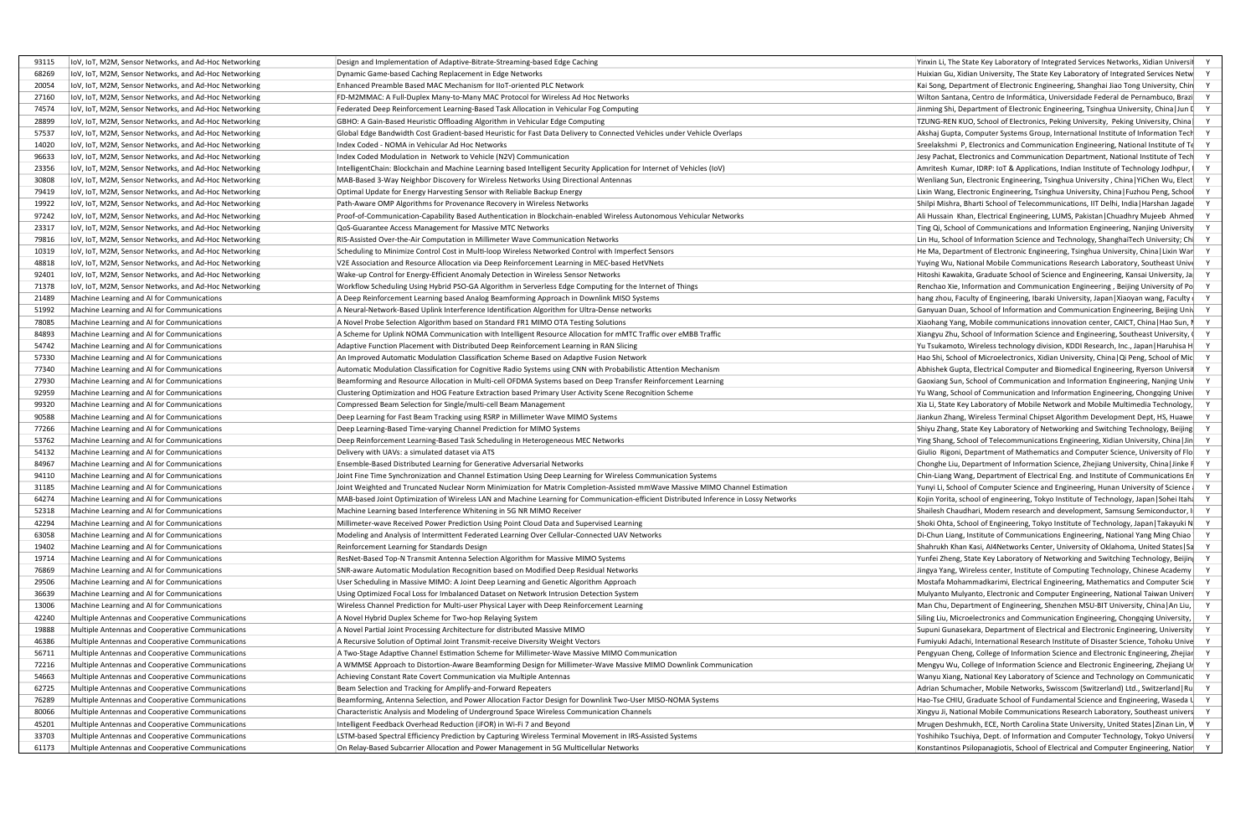|                                                                                                                 | Design and Implementation of Adaptive-Bitrate-Streaming-based Edge Caching                                                                                                                          | Yinxin Li, The State Key Laboratory of Integrated Services Networks, Xidian Unive                                                                                       |
|-----------------------------------------------------------------------------------------------------------------|-----------------------------------------------------------------------------------------------------------------------------------------------------------------------------------------------------|-------------------------------------------------------------------------------------------------------------------------------------------------------------------------|
| 68269   IoV, IoT, M2M, Sensor Networks, and Ad-Hoc Networking                                                   | Dynamic Game-based Caching Replacement in Edge Networks                                                                                                                                             | Huixian Gu, Xidian University, The State Key Laboratory of Integrated Services Netw                                                                                     |
| 20054   IoV, IoT, M2M, Sensor Networks, and Ad-Hoc Networking                                                   | Enhanced Preamble Based MAC Mechanism for IIoT-oriented PLC Network                                                                                                                                 | Kai Song, Department of Electronic Engineering, Shanghai Jiao Tong University, Chin                                                                                     |
|                                                                                                                 | FD-M2MMAC: A Full-Duplex Many-to-Many MAC Protocol for Wireless Ad Hoc Networks                                                                                                                     | Wilton Santana, Centro de Informática, Universidade Federal de Pernambuco, Brazi                                                                                        |
| 74574   IoV, IoT, M2M, Sensor Networks, and Ad-Hoc Networking                                                   | Federated Deep Reinforcement Learning-Based Task Allocation in Vehicular Fog Computing                                                                                                              | Jinming Shi, Department of Electronic Engineering, Tsinghua University, China   Jun I                                                                                   |
| 28899   IoV, IoT, M2M, Sensor Networks, and Ad-Hoc Networking                                                   | GBHO: A Gain-Based Heuristic Offloading Algorithm in Vehicular Edge Computing                                                                                                                       | TZUNG-REN KUO, School of Electronics, Peking University, Peking University, China                                                                                       |
| 57537   IoV, IoT, M2M, Sensor Networks, and Ad-Hoc Networking                                                   | Global Edge Bandwidth Cost Gradient-based Heuristic for Fast Data Delivery to Connected Vehicles under Vehicle Overlaps                                                                             | Akshaj Gupta, Computer Systems Group, International Institute of Information Tech                                                                                       |
| 14020   IoV, IoT, M2M, Sensor Networks, and Ad-Hoc Networking                                                   | Index Coded - NOMA in Vehicular Ad Hoc Networks                                                                                                                                                     | Sreelakshmi P, Electronics and Communication Engineering, National Institute of T                                                                                       |
| 96633   IoV, IoT, M2M, Sensor Networks, and Ad-Hoc Networking                                                   | Index Coded Modulation in Network to Vehicle (N2V) Communication                                                                                                                                    | Jesy Pachat, Electronics and Communication Department, National Institute of Tech                                                                                       |
| 23356   IoV, IoT, M2M, Sensor Networks, and Ad-Hoc Networkin                                                    | IntelligentChain: Blockchain and Machine Learning based Intelligent Security Application for Internet of Vehicles (IoV)                                                                             | Amritesh Kumar, IDRP: IoT & Applications, Indian Institute of Technology Jodhpur, I                                                                                     |
| 30808   IoV, IoT, M2M, Sensor Networks, and Ad-Hoc Networking                                                   | MAB-Based 3-Way Neighbor Discovery for Wireless Networks Using Directional Antennas                                                                                                                 | Wenliang Sun, Electronic Engineering, Tsinghua University, China   YiChen Wu, Elect                                                                                     |
| 79419   IoV, IoT, M2M, Sensor Networks, and Ad-Hoc Networking                                                   | Optimal Update for Energy Harvesting Sensor with Reliable Backup Energy                                                                                                                             | Lixin Wang, Electronic Engineering, Tsinghua University, China   Fuzhou Peng, School                                                                                    |
| 19922   IoV, IoT, M2M, Sensor Networks, and Ad-Hoc Networking                                                   | Path-Aware OMP Algorithms for Provenance Recovery in Wireless Networks                                                                                                                              | Shilpi Mishra, Bharti School of Telecommunications, IIT Delhi, India   Harshan Jagade                                                                                   |
| 97242   IoV, IoT, M2M, Sensor Networks, and Ad-Hoc Networking                                                   | Proof-of-Communication-Capability Based Authentication in Blockchain-enabled Wireless Autonomous Vehicular Networks                                                                                 | Ali Hussain Khan, Electrical Engineering, LUMS, Pakistan   Chuadhry Mujeeb Ahmed                                                                                        |
| 23317   IoV, IoT, M2M, Sensor Networks, and Ad-Hoc Networking                                                   | QoS-Guarantee Access Management for Massive MTC Networks                                                                                                                                            | Ting Qi, School of Communications and Information Engineering, Nanjing University                                                                                       |
|                                                                                                                 | RIS-Assisted Over-the-Air Computation in Millimeter Wave Communication Networks                                                                                                                     | Lin Hu, School of Information Science and Technology, ShanghaiTech University; Chi                                                                                      |
| 10319   IoV, IoT, M2M, Sensor Networks, and Ad-Hoc Networking                                                   | Scheduling to Minimize Control Cost in Multi-loop Wireless Networked Control with Imperfect Sensors                                                                                                 | He Ma, Department of Electronic Engineering, Tsinghua University, China   Lixin War                                                                                     |
| 48818   IoV, IoT, M2M, Sensor Networks, and Ad-Hoc Networking                                                   | V2E Association and Resource Allocation via Deep Reinforcement Learning in MEC-based HetVNets                                                                                                       | Yuying Wu, National Mobile Communications Research Laboratory, Southeast Unive                                                                                          |
|                                                                                                                 | Wake-up Control for Energy-Efficient Anomaly Detection in Wireless Sensor Networks                                                                                                                  | Hitoshi Kawakita, Graduate School of Science and Engineering, Kansai University, Ja                                                                                     |
| 71378   IoV, IoT, M2M, Sensor Networks, and Ad-Hoc Networking                                                   | Workflow Scheduling Using Hybrid PSO-GA Algorithm in Serverless Edge Computing for the Internet of Things                                                                                           | Renchao Xie, Information and Communication Engineering, Beijing University of Po                                                                                        |
| 89 Machine Learning and AI for Communications                                                                   | A Deep Reinforcement Learning based Analog Beamforming Approach in Downlink MISO Systems                                                                                                            | hang zhou, Faculty of Engineering, Ibaraki University, Japan   Xiaoyan wang, Faculty                                                                                    |
| 992 Machine Learning and AI for Communications                                                                  | A Neural-Network-Based Uplink Interference Identification Algorithm for Ultra-Dense networks                                                                                                        | Ganyuan Duan, School of Information and Communication Engineering, Beijing Univ                                                                                         |
| 8085 Machine Learning and AI for Communications                                                                 | A Novel Probe Selection Algorithm based on Standard FR1 MIMO OTA Testing Solutions                                                                                                                  | Xiaohang Yang, Mobile communications innovation center, CAICT, China   Hao Sun, I                                                                                       |
| 4893 Machine Learning and AI for Communications                                                                 | A Scheme for Uplink NOMA Communication with Intelligent Resource Allocation for mMTC Traffic over eMBB Traffic                                                                                      | Xiangyu Zhu, School of Information Science and Engineering, Southeast University, (                                                                                     |
| 42 Machine Learning and AI for Communications                                                                   | Adaptive Function Placement with Distributed Deep Reinforcement Learning in RAN Slicing                                                                                                             | Yu Tsukamoto, Wireless technology division, KDDI Research, Inc., Japan Haruhisa H                                                                                       |
| 0 Machine Learning and AI for Communications                                                                    | An Improved Automatic Modulation Classification Scheme Based on Adaptive Fusion Network                                                                                                             | Hao Shi, School of Microelectronics, Xidian University, China   Qi Peng, School of Mic                                                                                  |
| 40 Machine Learning and AI for Communications                                                                   | Automatic Modulation Classification for Cognitive Radio Systems using CNN with Probabilistic Attention Mechanism                                                                                    | Abhishek Gupta, Electrical Computer and Biomedical Engineering, Ryerson Universi                                                                                        |
| 930 Machine Learning and AI for Communications                                                                  | Beamforming and Resource Allocation in Multi-cell OFDMA Systems based on Deep Transfer Reinforcement Learning                                                                                       | Gaoxiang Sun, School of Communication and Information Engineering, Nanjing Univ                                                                                         |
| 2959 Machine Learning and AI for Communications                                                                 | Clustering Optimization and HOG Feature Extraction based Primary User Activity Scene Recognition Scheme                                                                                             | Yu Wang, School of Communication and Information Engineering, Chongqing Unive                                                                                           |
| 99320 Machine Learning and AI for Communications                                                                | Compressed Beam Selection for Single/multi-cell Beam Management                                                                                                                                     | Xia Li, State Key Laboratory of Mobile Network and Mobile Multimedia Technology,                                                                                        |
| 90588 Machine Learning and AI for Communications                                                                | Deep Learning for Fast Beam Tracking using RSRP in Millimeter Wave MIMO Systems                                                                                                                     | Jiankun Zhang, Wireless Terminal Chipset Algorithm Development Dept, HS, Huawe                                                                                          |
| 266 Machine Learning and AI for Communications                                                                  | Deep Learning-Based Time-varying Channel Prediction for MIMO Systems                                                                                                                                | Shiyu Zhang, State Key Laboratory of Networking and Switching Technology, Beijing                                                                                       |
| 2 Machine Learning and AI for Communications                                                                    | Deep Reinforcement Learning-Based Task Scheduling in Heterogeneous MEC Networks                                                                                                                     | Ying Shang, School of Telecommunications Engineering, Xidian University, China   Jin                                                                                    |
| 4132   Machine Learning and AI for Communications                                                               | Delivery with UAVs: a simulated dataset via ATS                                                                                                                                                     | Giulio Rigoni, Department of Mathematics and Computer Science, University of Flo                                                                                        |
| 4967 Machine Learning and AI for Communications                                                                 | <b>Ensemble-Based Distributed Learning for Generative Adversarial Networks</b>                                                                                                                      | Chonghe Liu, Department of Information Science, Zhejiang University, China   Jinke F                                                                                    |
| 94110 Machine Learning and AI for Communications                                                                | Joint Fine Time Synchronization and Channel Estimation Using Deep Learning for Wireless Communication Systems                                                                                       | Chin-Liang Wang, Department of Electrical Eng. and Institute of Communications En                                                                                       |
| 185 Machine Learning and AI for Communications                                                                  | Joint Weighted and Truncated Nuclear Norm Minimization for Matrix Completion-Assisted mmWave Massive MIMO Channel Estimation                                                                        | Yunyi Li, School of Computer Science and Engineering, Hunan University of Science                                                                                       |
| 274 Machine Learning and AI for Communications                                                                  | MAB-based Joint Optimization of Wireless LAN and Machine Learning for Communication-efficient Distributed Inference in Lossy Networks                                                               | Kojin Yorita, school of engineering, Tokyo Institute of Technology, Japan   Sohei Itaha                                                                                 |
| 8 Machine Learning and AI for Communications                                                                    | Machine Learning based Interference Whitening in 5G NR MIMO Receiver                                                                                                                                | Shailesh Chaudhari, Modem research and development, Samsung Semiconductor, I                                                                                            |
| 42294 Machine Learning and AI for Communications                                                                | Millimeter-wave Received Power Prediction Using Point Cloud Data and Supervised Learning                                                                                                            | Shoki Ohta, School of Engineering, Tokyo Institute of Technology, Japan   Takayuki N                                                                                    |
| 63058 Machine Learning and AI for Communications                                                                | Modeling and Analysis of Intermittent Federated Learning Over Cellular-Connected UAV Networks                                                                                                       | Di-Chun Liang, Institute of Communications Engineering, National Yang Ming Chiao                                                                                        |
| 19402 Machine Learning and AI for Communications                                                                | Reinforcement Learning for Standards Design                                                                                                                                                         | Shahrukh Khan Kasi, Al4Networks Center, University of Oklahoma, United States   Sa                                                                                      |
| 19714 Machine Learning and AI for Communications                                                                | ResNet-Based Top-N Transmit Antenna Selection Algorithm for Massive MIMO Systems                                                                                                                    | Yunfei Zheng, State Key Laboratory of Networking and Switching Technology, Beijin                                                                                       |
| 76869 Machine Learning and AI for Communications                                                                | SNR-aware Automatic Modulation Recognition based on Modified Deep Residual Networks                                                                                                                 | Jingya Yang, Wireless center, Institute of Computing Technology, Chinese Academy                                                                                        |
| 29506 Machine Learning and AI for Communications                                                                | User Scheduling in Massive MIMO: A Joint Deep Learning and Genetic Algorithm Approach                                                                                                               | Mostafa Mohammadkarimi, Electrical Engineering, Mathematics and Computer Scie                                                                                           |
| 36639 Machine Learning and AI for Communications                                                                | Using Optimized Focal Loss for Imbalanced Dataset on Network Intrusion Detection System                                                                                                             | Mulyanto Mulyanto, Electronic and Computer Engineering, National Taiwan Univers                                                                                         |
|                                                                                                                 | Wireless Channel Prediction for Multi-user Physical Layer with Deep Reinforcement Learning                                                                                                          | Man Chu, Department of Engineering, Shenzhen MSU-BIT University, China   An Liu,                                                                                        |
| 3006 Machine Learning and AI for Communications<br>2240 Multiple Antennas and Cooperative Communications        | A Novel Hybrid Duplex Scheme for Two-hop Relaying System                                                                                                                                            | Siling Liu, Microelectronics and Communication Engineering, Chongqing University,                                                                                       |
|                                                                                                                 |                                                                                                                                                                                                     | Supuni Gunasekara, Department of Electrical and Electronic Engineering, University                                                                                      |
| 19888 Multiple Antennas and Cooperative Communications                                                          | A Novel Partial Joint Processing Architecture for distributed Massive MIMO                                                                                                                          |                                                                                                                                                                         |
| 46386 Multiple Antennas and Cooperative Communications                                                          | A Recursive Solution of Optimal Joint Transmit-receive Diversity Weight Vectors                                                                                                                     | Fumiyuki Adachi, International Research Institute of Disaster Science, Tohoku Unive                                                                                     |
| 5711 Multiple Antennas and Cooperative Communications                                                           | A Two-Stage Adaptive Channel Estimation Scheme for Millimeter-Wave Massive MIMO Communication                                                                                                       | Pengyuan Cheng, College of Information Science and Electronic Engineering, Zhejiar                                                                                      |
| 2216 Multiple Antennas and Cooperative Communications                                                           | A WMMSE Approach to Distortion-Aware Beamforming Design for Millimeter-Wave Massive MIMO Downlink Communication                                                                                     | Mengyu Wu, College of Information Science and Electronic Engineering, Zhejiang Ur                                                                                       |
| 54663 Multiple Antennas and Cooperative Communications                                                          | Achieving Constant Rate Covert Communication via Multiple Antennas                                                                                                                                  | Wanyu Xiang, National Key Laboratory of Science and Technology on Communicatic                                                                                          |
| 52725 Multiple Antennas and Cooperative Communications                                                          | Beam Selection and Tracking for Amplify-and-Forward Repeaters                                                                                                                                       | Adrian Schumacher, Mobile Networks, Swisscom (Switzerland) Ltd., Switzerland   Ru                                                                                       |
| 76289 Multiple Antennas and Cooperative Communications                                                          | Beamforming, Antenna Selection, and Power Allocation Factor Design for Downlink Two-User MISO-NOMA Systems                                                                                          | Hao-Tse CHIU, Graduate School of Fundamental Science and Engineering, Waseda L                                                                                          |
| 80066 Multiple Antennas and Cooperative Communications                                                          | Characteristic Analysis and Modeling of Underground Space Wireless Communication Channels                                                                                                           | Xingyu Ji, National Mobile Communications Research Laboratory, Southeast univers                                                                                        |
| 45201 Multiple Antennas and Cooperative Communications                                                          | Intelligent Feedback Overhead Reduction (iFOR) in Wi-Fi 7 and Beyond                                                                                                                                | Mrugen Deshmukh, ECE, North Carolina State University, United States   Zinan Lin, V                                                                                     |
|                                                                                                                 |                                                                                                                                                                                                     |                                                                                                                                                                         |
| 3703 Multiple Antennas and Cooperative Communications<br>61173 Multiple Antennas and Cooperative Communications | LSTM-based Spectral Efficiency Prediction by Capturing Wireless Terminal Movement in IRS-Assisted Systems<br>On Relay-Based Subcarrier Allocation and Power Management in 5G Multicellular Networks | Yoshihiko Tsuchiya, Dept. of Information and Computer Technology, Tokyo Universi<br>Konstantinos Psilopanagiotis, School of Electrical and Computer Engineering, Nation |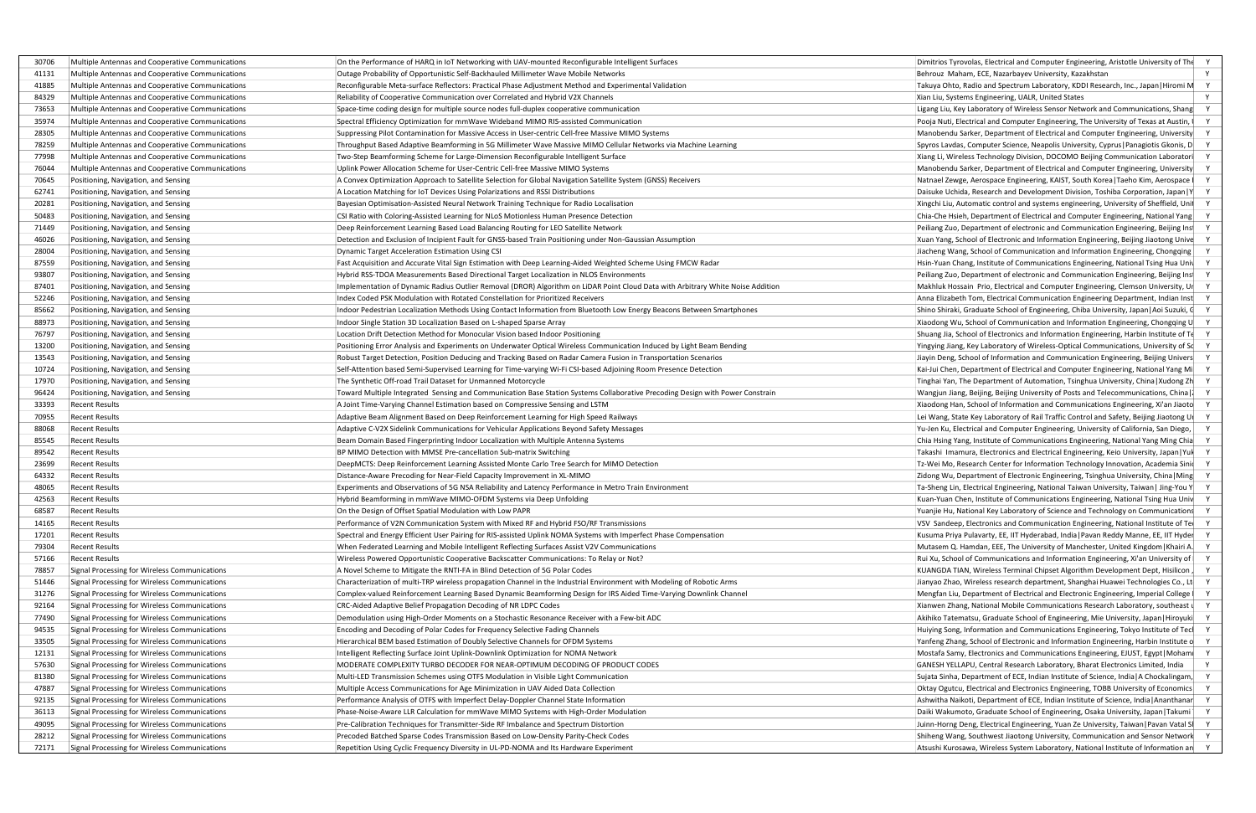| 30706   Multiple Antennas and Cooperative Communications | On the Performance of HARQ in IoT Networking with UAV-mounted Reconfigurable Intelligent Surfaces                               | Dimitrios Tyrovolas, Electrical and Computer Engineering, Aristotle University of The  |
|----------------------------------------------------------|---------------------------------------------------------------------------------------------------------------------------------|----------------------------------------------------------------------------------------|
| 41131 Multiple Antennas and Cooperative Communications   | Outage Probability of Opportunistic Self-Backhauled Millimeter Wave Mobile Networks                                             | Behrouz Maham, ECE, Nazarbayev University, Kazakhstan                                  |
| 41885 Multiple Antennas and Cooperative Communications   | Reconfigurable Meta-surface Reflectors: Practical Phase Adjustment Method and Experimental Validation                           | Takuya Ohto, Radio and Spectrum Laboratory, KDDI Research, Inc., Japan   Hiromi M      |
| 84329 Multiple Antennas and Cooperative Communications   | Reliability of Cooperative Communication over Correlated and Hybrid V2X Channels                                                | Xian Liu, Systems Engineering, UALR, United States                                     |
| 73653 Multiple Antennas and Cooperative Communications   | Space-time coding design for multiple source nodes full-duplex cooperative communication                                        | Ligang Liu, Key Laboratory of Wireless Sensor Network and Communications, Shang        |
| 35974 Multiple Antennas and Cooperative Communications   | Spectral Efficiency Optimization for mmWave Wideband MIMO RIS-assisted Communication                                            | Pooja Nuti, Electrical and Computer Engineering, The University of Texas at Austin, I  |
| 28305 Multiple Antennas and Cooperative Communications   | Suppressing Pilot Contamination for Massive Access in User-centric Cell-free Massive MIMO Systems                               | Manobendu Sarker, Department of Electrical and Computer Engineering, University        |
| 78259 Multiple Antennas and Cooperative Communications   | Throughput Based Adaptive Beamforming in 5G Millimeter Wave Massive MIMO Cellular Networks via Machine Learning                 | Spyros Lavdas, Computer Science, Neapolis University, Cyprus   Panagiotis Gkonis, D    |
| 77998 Multiple Antennas and Cooperative Communications   | Two-Step Beamforming Scheme for Large-Dimension Reconfigurable Intelligent Surface                                              | Xiang Li, Wireless Technology Division, DOCOMO Beijing Communication Laboratori        |
| 76044 Multiple Antennas and Cooperative Communications   | Uplink Power Allocation Scheme for User-Centric Cell-free Massive MIMO Systems                                                  | Manobendu Sarker, Department of Electrical and Computer Engineering, University        |
| 70645 Positioning, Navigation, and Sensing               | A Convex Optimization Approach to Satellite Selection for Global Navigation Satellite System (GNSS) Receivers                   | Natnael Zewge, Aerospace Engineering, KAIST, South Korea   Taeho Kim, Aerospace        |
| 62741 Positioning, Navigation, and Sensing               | A Location Matching for IoT Devices Using Polarizations and RSSI Distributions                                                  | Daisuke Uchida, Research and Development Division, Toshiba Corporation, Japan   Y      |
| 20281 Positioning, Navigation, and Sensing               | Bayesian Optimisation-Assisted Neural Network Training Technique for Radio Localisation                                         | Xingchi Liu, Automatic control and systems engineering, University of Sheffield, Unil  |
| 50483 Positioning, Navigation, and Sensing               | CSI Ratio with Coloring-Assisted Learning for NLoS Motionless Human Presence Detection                                          | Chia-Che Hsieh, Department of Electrical and Computer Engineering, National Yang       |
| 71449 Positioning, Navigation, and Sensing               | Deep Reinforcement Learning Based Load Balancing Routing for LEO Satellite Network                                              |                                                                                        |
| 46026 Positioning, Navigation, and Sensing               | Detection and Exclusion of Incipient Fault for GNSS-based Train Positioning under Non-Gaussian Assumption                       | Peiliang Zuo, Department of electronic and Communication Engineering, Beijing Ins      |
|                                                          |                                                                                                                                 | Xuan Yang, School of Electronic and Information Engineering, Beijing Jiaotong Unive    |
| 28004 Positioning, Navigation, and Sensing               | Dynamic Target Acceleration Estimation Using CSI                                                                                | Jiacheng Wang, School of Communication and Information Engineering, Chongqing          |
| 87559 Positioning, Navigation, and Sensing               | Fast Acquisition and Accurate Vital Sign Estimation with Deep Learning-Aided Weighted Scheme Using FMCW Radar                   | Hsin-Yuan Chang, Institute of Communications Engineering, National Tsing Hua Univ      |
| 93807 Positioning, Navigation, and Sensing               | Hybrid RSS-TDOA Measurements Based Directional Target Localization in NLOS Environments                                         | Peiliang Zuo, Department of electronic and Communication Engineering, Beijing Ins      |
| 87401 Positioning, Navigation, and Sensing               | Implementation of Dynamic Radius Outlier Removal (DROR) Algorithm on LiDAR Point Cloud Data with Arbitrary White Noise Addition | Makhluk Hossain Prio, Electrical and Computer Engineering, Clemson University, Ur      |
| 52246 Positioning, Navigation, and Sensing               | Index Coded PSK Modulation with Rotated Constellation for Prioritized Receivers                                                 | Anna Elizabeth Tom, Electrical Communication Engineering Department, Indian Inst       |
| 85662 Positioning, Navigation, and Sensing               | Indoor Pedestrian Localization Methods Using Contact Information from Bluetooth Low Energy Beacons Between Smartphones          | Shino Shiraki, Graduate School of Engineering, Chiba University, Japan   Aoi Suzuki, G |
| 88973 Positioning, Navigation, and Sensing               | Indoor Single Station 3D Localization Based on L-shaped Sparse Array                                                            | Xiaodong Wu, School of Communication and Information Engineering, Chongqing U          |
| 76797 Positioning, Navigation, and Sensing               | Location Drift Detection Method for Monocular Vision based Indoor Positioning                                                   | Shuang Jia, School of Electronics and Information Engineering, Harbin Institute of Te  |
| 13200 Positioning, Navigation, and Sensing               | Positioning Error Analysis and Experiments on Underwater Optical Wireless Communication Induced by Light Beam Bending           | Yingying Jiang, Key Laboratory of Wireless-Optical Communications, University of Sc    |
| 13543 Positioning, Navigation, and Sensing               | Robust Target Detection, Position Deducing and Tracking Based on Radar Camera Fusion in Transportation Scenarios                | Jiayin Deng, School of Information and Communication Engineering, Beijing Univers      |
| 10724 Positioning, Navigation, and Sensing               | Self-Attention based Semi-Supervised Learning for Time-varying Wi-Fi CSI-based Adjoining Room Presence Detection                | Kai-Jui Chen, Department of Electrical and Computer Engineering, National Yang Mi      |
| 17970 Positioning, Navigation, and Sensing               | The Synthetic Off-road Trail Dataset for Unmanned Motorcycle                                                                    | Tinghai Yan, The Department of Automation, Tsinghua University, China   Xudong Zh      |
| 96424 Positioning, Navigation, and Sensing               | Toward Multiple Integrated Sensing and Communication Base Station Systems Collaborative Precoding Design with Power Constrain   | Wangjun Jiang, Beijing, Beijing University of Posts and Telecommunications, China      |
| 33393 Recent Results                                     | A Joint Time-Varying Channel Estimation based on Compressive Sensing and LSTM                                                   | Xiaodong Han, School of Information and Communications Engineering, Xi'an Jiaoto       |
| 70955 Recent Results                                     | Adaptive Beam Alignment Based on Deep Reinforcement Learning for High Speed Railways                                            | Lei Wang, State Key Laboratory of Rail Traffic Control and Safety, Beijing Jiaotong UI |
| 88068 Recent Results                                     | Adaptive C-V2X Sidelink Communications for Vehicular Applications Beyond Safety Messages                                        | Yu-Jen Ku, Electrical and Computer Engineering, University of California, San Diego,   |
| 85545 Recent Results                                     | Beam Domain Based Fingerprinting Indoor Localization with Multiple Antenna Systems                                              | Chia Hsing Yang, Institute of Communications Engineering, National Yang Ming Chia      |
| 89542 Recent Results                                     | BP MIMO Detection with MMSE Pre-cancellation Sub-matrix Switching                                                               | Takashi Imamura, Electronics and Electrical Engineering, Keio University, Japan   Yul  |
| 23699 Recent Results                                     | DeepMCTS: Deep Reinforcement Learning Assisted Monte Carlo Tree Search for MIMO Detection                                       | Tz-Wei Mo, Research Center for Information Technology Innovation, Academia Sini        |
| 64332 Recent Results                                     | Distance-Aware Precoding for Near-Field Capacity Improvement in XL-MIMO                                                         | Zidong Wu, Department of Electronic Engineering, Tsinghua University, China   Ming     |
| 48065 Recent Results                                     | Experiments and Observations of 5G NSA Reliability and Latency Performance in Metro Train Environment                           | Ta-Sheng Lin, Electrical Engineering, National Taiwan University, Taiwan   Jing-You Y  |
| 42563 Recent Results                                     | Hybrid Beamforming in mmWave MIMO-OFDM Systems via Deep Unfolding                                                               | Kuan-Yuan Chen, Institute of Communications Engineering, National Tsing Hua Univ       |
| 68587 Recent Results                                     | On the Design of Offset Spatial Modulation with Low PAPR                                                                        | Yuanjie Hu, National Key Laboratory of Science and Technology on Communications        |
| 14165 Recent Results                                     | Performance of V2N Communication System with Mixed RF and Hybrid FSO/RF Transmissions                                           | VSV Sandeep, Electronics and Communication Engineering, National Institute of Te       |
| 17201 Recent Results                                     | Spectral and Energy Efficient User Pairing for RIS-assisted Uplink NOMA Systems with Imperfect Phase Compensation               | Kusuma Priya Pulavarty, EE, IIT Hyderabad, India   Pavan Reddy Manne, EE, IIT Hyder    |
| 79304 Recent Results                                     | When Federated Learning and Mobile Intelligent Reflecting Surfaces Assist V2V Communications                                    | Mutasem Q. Hamdan, EEE, The University of Manchester, United Kingdom   Khairi A.       |
| 57166 Recent Results                                     | Wireless Powered Opportunistic Cooperative Backscatter Communications: To Relay or Not?                                         | Rui Xu, School of Communications and Information Engineering, Xi'an University of      |
| 78857 Signal Processing for Wireless Communications      | A Novel Scheme to Mitigate the RNTI-FA in Blind Detection of 5G Polar Codes                                                     | KUANGDA TIAN, Wireless Terminal Chipset Algorithm Development Dept, Hisilicon,         |
| 51446 Signal Processing for Wireless Communications      | Characterization of multi-TRP wireless propagation Channel in the Industrial Environment with Modeling of Robotic Arms          | Jianyao Zhao, Wireless research department, Shanghai Huawei Technologies Co., Lt       |
| 31276 Signal Processing for Wireless Communications      | Complex-valued Reinforcement Learning Based Dynamic Beamforming Design for IRS Aided Time-Varying Downlink Channel              | Mengfan Liu, Department of Electrical and Electronic Engineering, Imperial College     |
| 92164 Signal Processing for Wireless Communications      | CRC-Aided Adaptive Belief Propagation Decoding of NR LDPC Codes                                                                 | Xianwen Zhang, National Mobile Communications Research Laboratory, southeast u         |
| 77490 Signal Processing for Wireless Communications      | Demodulation using High-Order Moments on a Stochastic Resonance Receiver with a Few-bit ADC                                     | Akihiko Tatematsu, Graduate School of Engineering, Mie University, Japan   Hiroyuki    |
| 94535 Signal Processing for Wireless Communications      | Encoding and Decoding of Polar Codes for Frequency Selective Fading Channels                                                    | Huiying Song, Information and Communications Engineering, Tokyo Institute of Tecl      |
| 33505 Signal Processing for Wireless Communications      | Hierarchical BEM based Estimation of Doubly Selective Channels for OFDM Systems                                                 | Yanfeng Zhang, School of Electronic and Information Engineering, Harbin Institute o    |
| 12131 Signal Processing for Wireless Communications      | Intelligent Reflecting Surface Joint Uplink-Downlink Optimization for NOMA Network                                              | Mostafa Samy, Electronics and Communications Engineering, EJUST, Egypt   Moham         |
| 57630 Signal Processing for Wireless Communications      | MODERATE COMPLEXITY TURBO DECODER FOR NEAR-OPTIMUM DECODING OF PRODUCT CODES                                                    | GANESH YELLAPU, Central Research Laboratory, Bharat Electronics Limited, India         |
| 81380 Signal Processing for Wireless Communications      | Multi-LED Transmission Schemes using OTFS Modulation in Visible Light Communication                                             | Sujata Sinha, Department of ECE, Indian Institute of Science, India   A Chockalingam,  |
| 47887 Signal Processing for Wireless Communications      | Multiple Access Communications for Age Minimization in UAV Aided Data Collection                                                | Oktay Ogutcu, Electrical and Electronics Engineering, TOBB University of Economics     |
| 92135 Signal Processing for Wireless Communications      | Performance Analysis of OTFS with Imperfect Delay-Doppler Channel State Information                                             | Ashwitha Naikoti, Department of ECE, Indian Institute of Science, India   Ananthanar   |
| 36113 Signal Processing for Wireless Communications      | Phase-Noise-Aware LLR Calculation for mmWave MIMO Systems with High-Order Modulation                                            | Daiki Wakumoto, Graduate School of Engineering, Osaka University, Japan   Takumi       |
| 49095 Signal Processing for Wireless Communications      | Pre-Calibration Techniques for Transmitter-Side RF Imbalance and Spectrum Distortion                                            | Juinn-Horng Deng, Electrical Engineering, Yuan Ze University, Taiwan   Pavan Vatal S   |
| 28212 Signal Processing for Wireless Communications      | Precoded Batched Sparse Codes Transmission Based on Low-Density Parity-Check Codes                                              | Shiheng Wang, Southwest Jiaotong University, Communication and Sensor Network Y        |
| 72171 Signal Processing for Wireless Communications      | Repetition Using Cyclic Frequency Diversity in UL-PD-NOMA and Its Hardware Experiment                                           | Atsushi Kurosawa, Wireless System Laboratory, National Institute of Information an Y   |